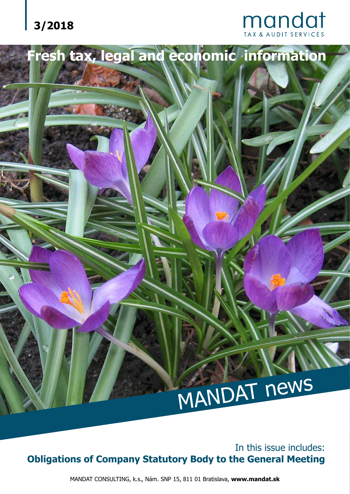



# MANDAT news

In this issue includes: **Obligations of Company Statutory Body to the General Meeting**

**Fresh tax, legal and economic information**

MANDAT CONSULTING, k.s., Nám. SNP 15, 811 01 Bratislava, **www.mandat.sk**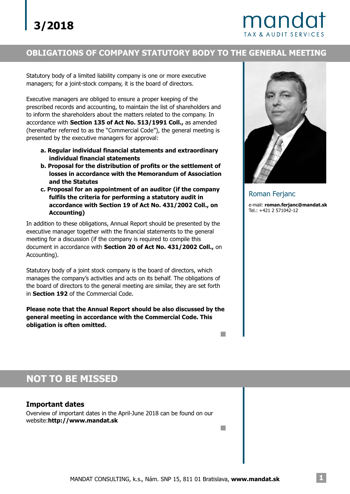# mando

#### **OBLIGATIONS OF COMPANY STATUTORY BODY TO THE GENERAL MEETING**

Statutory body of a limited liability company is one or more executive managers; for a joint-stock company, it is the board of directors.

Executive managers are obliged to ensure a proper keeping of the prescribed records and accounting, to maintain the list of shareholders and to inform the shareholders about the matters related to the company. In accordance with **Section 135 of Act No. 513/1991 Coll.,** as amended (hereinafter referred to as the "Commercial Code"), the general meeting is presented by the executive managers for approval:

- **a. Regular individual financial statements and extraordinary individual financial statements**
- **b. Proposal for the distribution of profits or the settlement of losses in accordance with the Memorandum of Association and the Statutes**
- **c. Proposal for an appointment of an auditor (if the company fulfils the criteria for performing a statutory audit in accordance with Section 19 of Act No. 431/2002 Coll., on Accounting)**

In addition to these obligations, Annual Report should be presented by the executive manager together with the financial statements to the general meeting for a discussion (if the company is required to compile this document in accordance with Section 20 of Act No. 431/2002 Coll., on Accounting).

Statutory body of a joint stock company is the board of directors, which manages the company's activities and acts on its behalf. The obligations of the board of directors to the general meeting are similar, they are set forth in Section 192 of the Commercial Code.

**Please note that the Annual Report should be also discussed by the general meeting in accordance with the Commercial Code. This obligation is often omitted.**



Roman Ferjanc

e-mail: **roman.ferjanc@mandat.sk** Tel.: +421 2 571042-12

## **NOT TO BE MISSED**

#### **Important dates**

Overview of important dates in the April-June 2018 can be found on our website:**http://www.mandat.sk**

 $\Box$ 

m.